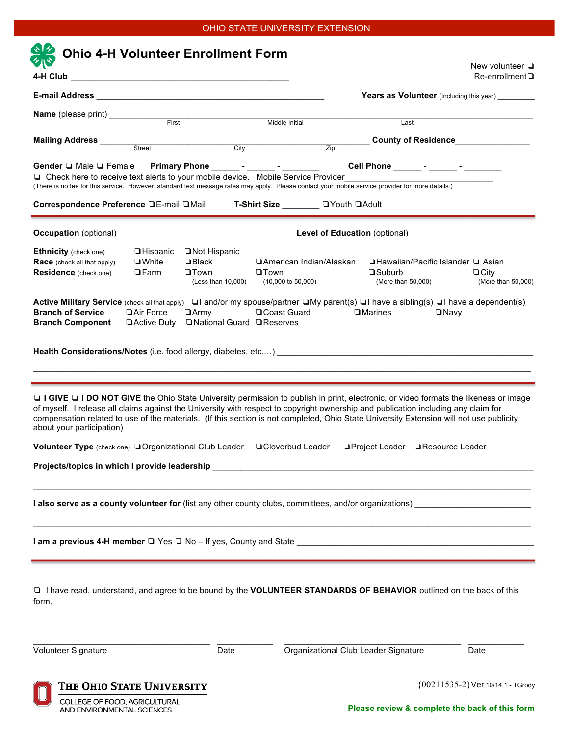## OHIO STATE UNIVERSITY EXTENSION

|                                                                                                                                                                                                                                                                                                                                                                                                                                                                                                                                                                                                                                                                                                                                                                                                                                                                                                                                                                                                                                                                                                                                                  |                    |                                      |                                               |                  |                                                   |             | New volunteer $\Box$<br>$Re$ -enrollment $\square$                               |
|--------------------------------------------------------------------------------------------------------------------------------------------------------------------------------------------------------------------------------------------------------------------------------------------------------------------------------------------------------------------------------------------------------------------------------------------------------------------------------------------------------------------------------------------------------------------------------------------------------------------------------------------------------------------------------------------------------------------------------------------------------------------------------------------------------------------------------------------------------------------------------------------------------------------------------------------------------------------------------------------------------------------------------------------------------------------------------------------------------------------------------------------------|--------------------|--------------------------------------|-----------------------------------------------|------------------|---------------------------------------------------|-------------|----------------------------------------------------------------------------------|
|                                                                                                                                                                                                                                                                                                                                                                                                                                                                                                                                                                                                                                                                                                                                                                                                                                                                                                                                                                                                                                                                                                                                                  |                    |                                      |                                               |                  | Years as Volunteer (Including this year) ________ |             |                                                                                  |
| Name (please print) ____________                                                                                                                                                                                                                                                                                                                                                                                                                                                                                                                                                                                                                                                                                                                                                                                                                                                                                                                                                                                                                                                                                                                 |                    |                                      |                                               |                  |                                                   |             |                                                                                  |
|                                                                                                                                                                                                                                                                                                                                                                                                                                                                                                                                                                                                                                                                                                                                                                                                                                                                                                                                                                                                                                                                                                                                                  |                    | First <b>First</b>                   | Middle Initial                                |                  | Last                                              |             |                                                                                  |
|                                                                                                                                                                                                                                                                                                                                                                                                                                                                                                                                                                                                                                                                                                                                                                                                                                                                                                                                                                                                                                                                                                                                                  |                    |                                      | <b>City</b>                                   |                  |                                                   |             | County of Residence<br>Letteral County of Residence Letteral County of Residence |
|                                                                                                                                                                                                                                                                                                                                                                                                                                                                                                                                                                                                                                                                                                                                                                                                                                                                                                                                                                                                                                                                                                                                                  |                    |                                      |                                               | $\overline{Zip}$ |                                                   |             |                                                                                  |
| Gender Q Male Q Female Primary Phone ________- _______- _________<br>□ Check here to receive text alerts to your mobile device. Mobile Service Provider<br>(There is no fee for this service. However, standard text message rates may apply. Please contact your mobile service provider for more details.)                                                                                                                                                                                                                                                                                                                                                                                                                                                                                                                                                                                                                                                                                                                                                                                                                                     |                    |                                      |                                               |                  | Cell Phone ______ - _____ - _______ -             |             |                                                                                  |
| Correspondence Preference □E-mail □Mail                                                                                                                                                                                                                                                                                                                                                                                                                                                                                                                                                                                                                                                                                                                                                                                                                                                                                                                                                                                                                                                                                                          |                    |                                      | T-Shirt Size <u>_________</u> □ Youth □ Adult |                  |                                                   |             |                                                                                  |
|                                                                                                                                                                                                                                                                                                                                                                                                                                                                                                                                                                                                                                                                                                                                                                                                                                                                                                                                                                                                                                                                                                                                                  |                    |                                      |                                               |                  | Level of Education (optional) ____________        |             |                                                                                  |
| <b>Ethnicity</b> (check one)                                                                                                                                                                                                                                                                                                                                                                                                                                                                                                                                                                                                                                                                                                                                                                                                                                                                                                                                                                                                                                                                                                                     | $\Box$ Hispanic    | □ Not Hispanic                       |                                               |                  |                                                   |             |                                                                                  |
| <b>Race</b> (check all that apply)                                                                                                                                                                                                                                                                                                                                                                                                                                                                                                                                                                                                                                                                                                                                                                                                                                                                                                                                                                                                                                                                                                               | $\square$ White    | $\square$ Black                      | □ American Indian/Alaskan                     |                  | □ Hawaiian/Pacific Islander □ Asian               |             |                                                                                  |
| <b>Residence</b> (check one)                                                                                                                                                                                                                                                                                                                                                                                                                                                                                                                                                                                                                                                                                                                                                                                                                                                                                                                                                                                                                                                                                                                     | $\Box$ Farm        | $\square$ Town<br>(Less than 10,000) | $\Box$ Town<br>$(10,000 \text{ to } 50,000)$  |                  | $\square$ Suburb<br>(More than 50,000)            |             | $\Box$ City<br>(More than 50,000)                                                |
| Active Military Service (check all that apply) $\Box$ I and/or my spouse/partner $\Box$ My parent(s) $\Box$ I have a sibling(s) $\Box$ I have a dependent(s)<br><b>Branch of Service</b>                                                                                                                                                                                                                                                                                                                                                                                                                                                                                                                                                                                                                                                                                                                                                                                                                                                                                                                                                         | □ Air Force        | ⊟Armγ                                | □ Coast Guard                                 |                  | $\square$ Marines                                 | $\Box$ Navy |                                                                                  |
|                                                                                                                                                                                                                                                                                                                                                                                                                                                                                                                                                                                                                                                                                                                                                                                                                                                                                                                                                                                                                                                                                                                                                  | $\Box$ Active Duty | □ National Guard □ Reserves          |                                               |                  |                                                   |             |                                                                                  |
|                                                                                                                                                                                                                                                                                                                                                                                                                                                                                                                                                                                                                                                                                                                                                                                                                                                                                                                                                                                                                                                                                                                                                  |                    |                                      |                                               |                  | □ Project Leader □ Resource Leader                |             |                                                                                  |
|                                                                                                                                                                                                                                                                                                                                                                                                                                                                                                                                                                                                                                                                                                                                                                                                                                                                                                                                                                                                                                                                                                                                                  |                    |                                      |                                               |                  |                                                   |             |                                                                                  |
|                                                                                                                                                                                                                                                                                                                                                                                                                                                                                                                                                                                                                                                                                                                                                                                                                                                                                                                                                                                                                                                                                                                                                  |                    |                                      |                                               |                  |                                                   |             |                                                                                  |
|                                                                                                                                                                                                                                                                                                                                                                                                                                                                                                                                                                                                                                                                                                                                                                                                                                                                                                                                                                                                                                                                                                                                                  |                    |                                      |                                               |                  |                                                   |             |                                                                                  |
| <b>Branch Component</b><br><b>Health Considerations/Notes</b> (i.e. food allergy, diabetes, etc) <b>Product and Considerations and Constantinent</b><br><b>I GIVE I I DO NOT GIVE</b> the Ohio State University permission to publish in print, electronic, or video formats the likeness or image<br>of myself. I release all claims against the University with respect to copyright ownership and publication including any claim for<br>compensation related to use of the materials. (If this section is not completed, Ohio State University Extension will not use publicity<br>about your participation)<br><b>Volunteer Type</b> (check one) □ Organizational Club Leader □ Cloverbud Leader<br>Projects/topics in which I provide leadership __________________________________<br>I also serve as a county volunteer for (list any other county clubs, committees, and/or organizations)<br>I am a previous 4-H member □ Yes □ No – If yes, County and State __________________________________<br>I have read, understand, and agree to be bound by the <b>VOLUNTEER STANDARDS OF BEHAVIOR</b> outlined on the back of this<br>form. |                    |                                      |                                               |                  |                                                   |             |                                                                                  |

COLLEGE OF FOOD, AGRICULTURAL,<br>AND ENVIRONMENTAL SCIENCES

**Please review & complete the back of this form**